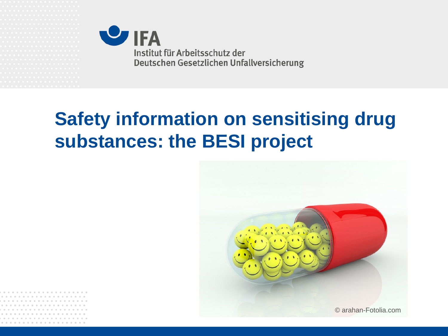

# **Safety information on sensitising drug substances: the BESI project**

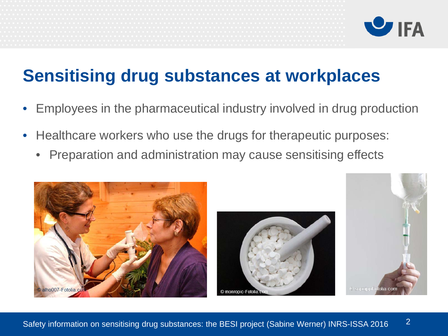

## **Sensitising drug substances at workplaces**

- Employees in the pharmaceutical industry involved in drug production
- Healthcare workers who use the drugs for therapeutic purposes:
	- Preparation and administration may cause sensitising effects





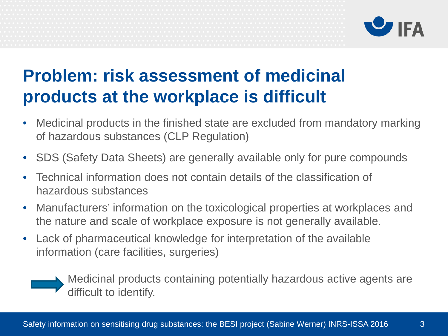

## **Problem: risk assessment of medicinal products at the workplace is difficult**

- Medicinal products in the finished state are excluded from mandatory marking of hazardous substances (CLP Regulation)
- SDS (Safety Data Sheets) are generally available only for pure compounds
- Technical information does not contain details of the classification of hazardous substances
- Manufacturers' information on the toxicological properties at workplaces and the nature and scale of workplace exposure is not generally available.
- Lack of pharmaceutical knowledge for interpretation of the available information (care facilities, surgeries)

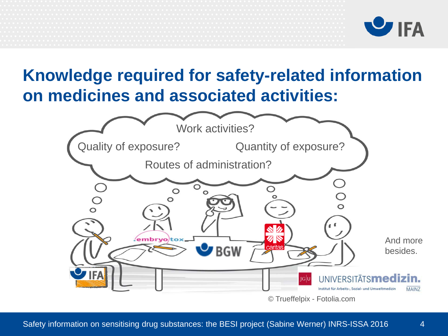



4

#### **Knowledge required for safety-related information on medicines and associated activities:**

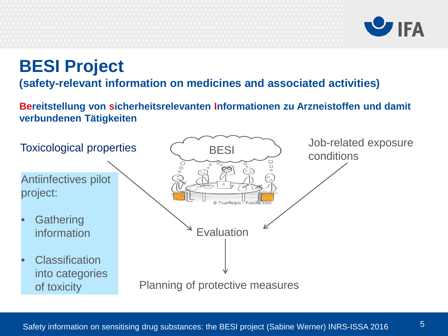

#### **BESI Project**

#### **(safety-relevant information on medicines and associated activities)**

**Bereitstellung von sicherheitsrelevanten Informationen zu Arzneistoffen und damit verbundenen Tätigkeiten**

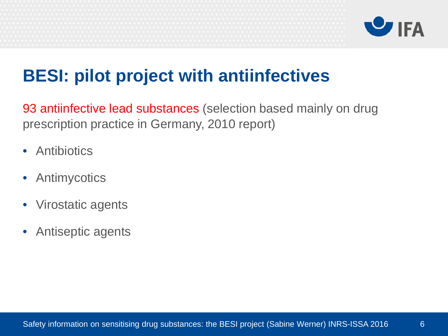

## **BESI: pilot project with antiinfectives**

93 antiinfective lead substances (selection based mainly on drug prescription practice in Germany, 2010 report)

- Antibiotics
- Antimycotics
- Virostatic agents
- Antiseptic agents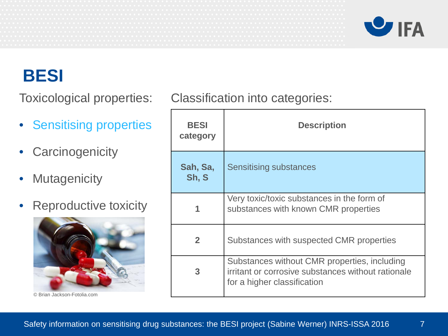

7

#### **BESI**

- Sensitising properties
- Carcinogenicity
- Mutagenicity
- Reproductive toxicity



© Brian Jackson-Fotolia.com

Toxicological properties: Classification into categories:

| <b>BESI</b><br>category | <b>Description</b>                                                                                                                |
|-------------------------|-----------------------------------------------------------------------------------------------------------------------------------|
| Sah, Sa,<br>Sh, S       | <b>Sensitising substances</b>                                                                                                     |
|                         | Very toxic/toxic substances in the form of<br>substances with known CMR properties                                                |
| $\overline{2}$          | Substances with suspected CMR properties                                                                                          |
| 3                       | Substances without CMR properties, including<br>irritant or corrosive substances without rationale<br>for a higher classification |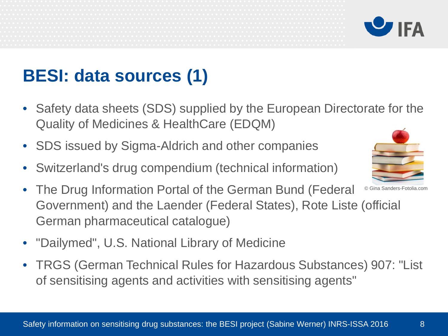# **BESI: data sources (1)**

- Safety data sheets (SDS) supplied by the European Directorate for the Quality of Medicines & HealthCare (EDQM)
- SDS issued by Sigma-Aldrich and other companies
- Switzerland's drug compendium (technical information)
- The Drug Information Portal of the German Bund (Federal Government) and the Laender (Federal States), Rote Liste (official German pharmaceutical catalogue) © Gina Sanders-Fotolia.com
- "Dailymed", U.S. National Library of Medicine
- TRGS (German Technical Rules for Hazardous Substances) 907: "List of sensitising agents and activities with sensitising agents"



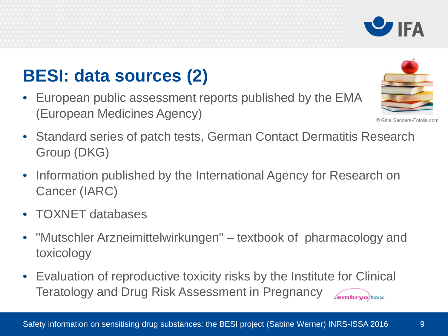# **BESI: data sources (2)**

- European public assessment reports published by the EMA (European Medicines Agency)
- Standard series of patch tests, German Contact Dermatitis Research Group (DKG)
- Information published by the International Agency for Research on Cancer (IARC)
- TOXNET databases
- "Mutschler Arzneimittelwirkungen" textbook of pharmacology and toxicology
- Evaluation of reproductive toxicity risks by the Institute for Clinical Teratology and Drug Risk Assessment in Pregnancy embryotox.





© Gina Sanders-Fotolia.com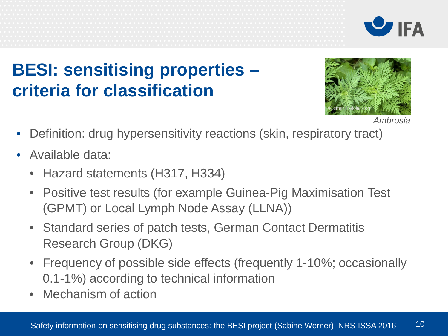



# **BESI: sensitising properties – criteria for classification**



 *Ambrosia*

- Definition: drug hypersensitivity reactions (skin, respiratory tract)
- Available data:
	- Hazard statements (H317, H334)
	- Positive test results (for example Guinea-Pig Maximisation Test (GPMT) or Local Lymph Node Assay (LLNA))
	- Standard series of patch tests, German Contact Dermatitis Research Group (DKG)
	- Frequency of possible side effects (frequently 1-10%; occasionally 0.1-1%) according to technical information
	- Mechanism of action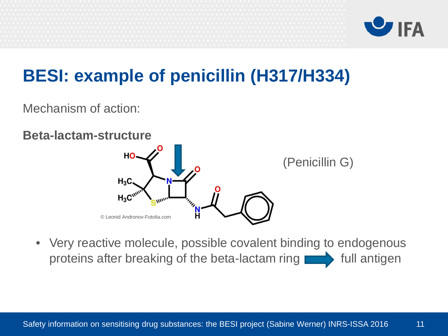

# **BESI: example of penicillin (H317/H334)**

Mechanism of action:

#### **Beta-lactam-structure**



• Very reactive molecule, possible covalent binding to endogenous proteins after breaking of the beta-lactam ring  $\Box$  full antigen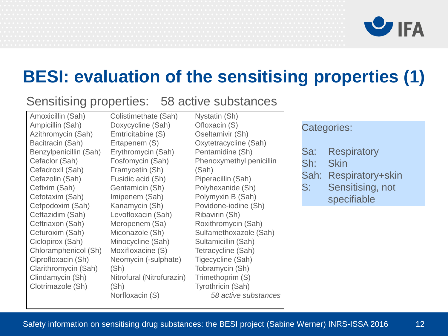

#### **BESI: evaluation of the sensitising properties (1)**

#### Sensitising properties: 58 active substances

Amoxicillin (Sah) Ampicillin (Sah) Azithromycin (Sah) Bacitracin (Sah) Benzylpenicillin (Sah) Cefaclor (Sah) Cefadroxil (Sah) Cefazolin (Sah) Cefixim (Sah) Cefotaxim (Sah) Cefpodoxim (Sah) Ceftazidim (Sah) Ceftriaxon (Sah) Cefuroxim (Sah) Ciclopirox (Sah) Chloramphenicol (Sh) Ciprofloxacin (Sh) Clarithromycin (Sah) Clindamycin (Sh) Clotrimazole (Sh)

Colistimethate (Sah) Doxycycline (Sah) Emtricitabine (S) Ertapenem (S) Erythromycin (Sah) Fosfomycin (Sah) Framycetin (Sh) Fusidic acid (Sh) Gentamicin (Sh) Imipenem (Sah) Kanamycin (Sh) Levofloxacin (Sah) Meropenem (Sa) Miconazole (Sh) Minocycline (Sah) Moxifloxacine (S) Neomycin (-sulphate) (Sh) Nitrofural (Nitrofurazin) (Sh) Norfloxacin (S)

Nystatin (Sh) Ofloxacin (S) Oseltamivir (Sh) Oxytetracycline (Sah) Pentamidine (Sh) Phenoxymethyl penicillin (Sah) Piperacillin (Sah) Polyhexanide (Sh) Polymyxin B (Sah) Povidone-iodine (Sh) Ribavirin (Sh) Roxithromycin (Sah) Sulfamethoxazole (Sah) Sultamicillin (Sah) Tetracycline (Sah) Tigecycline (Sah) Tobramycin (Sh) Trimethoprim (S) Tyrothricin (Sah) *58 active substances* 

#### Categories:

- Sa: Respiratory
- Sh: Skin
- Sah: Respiratory+skin
- S: Sensitising, not specifiable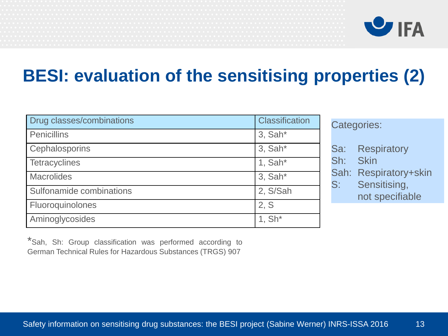

## **BESI: evaluation of the sensitising properties (2)**

| Drug classes/combinations | <b>Classification</b> |
|---------------------------|-----------------------|
| Penicillins               | $3.$ Sah $*$          |
| <b>Cephalosporins</b>     | $3.$ Sah $*$          |
| Tetracyclines             | 1, $Sah*$             |
| <b>Macrolides</b>         | $3.$ Sah $*$          |
| Sulfonamide combinations  | 2, S/Sah              |
| Fluoroquinolones          | 2, S                  |
| Aminoglycosides           | $1, Sh*$              |

Categories:

- Sa: Respiratory
- Sh: Skin
- Sah: Respiratory+skin
- S: Sensitising, not specifiable

\*Sah, Sh: Group classification was performed according to German Technical Rules for Hazardous Substances (TRGS) 907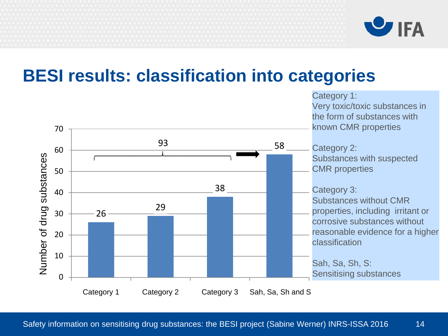

#### **BESI results: classification into categories**

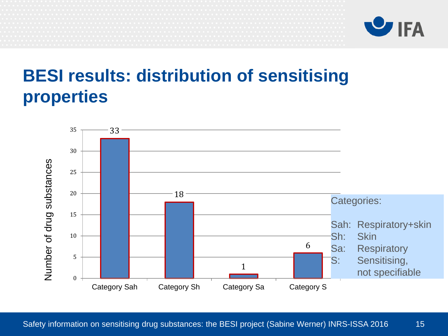

## **BESI results: distribution of sensitising properties**

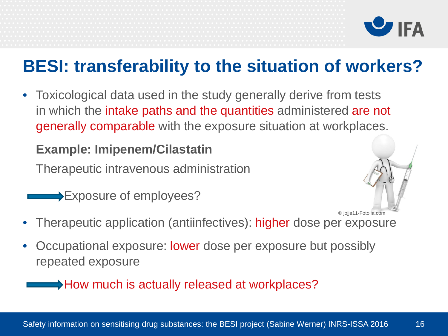

## **BESI: transferability to the situation of workers?**

• Toxicological data used in the study generally derive from tests in which the intake paths and the quantities administered are not generally comparable with the exposure situation at workplaces.

#### **Example: Imipenem/Cilastatin**

Therapeutic intravenous administration

Exposure of employees?



- Therapeutic application (antiinfectives): higher dose per exposure
- Occupational exposure: lower dose per exposure but possibly repeated exposure

→ How much is actually released at workplaces?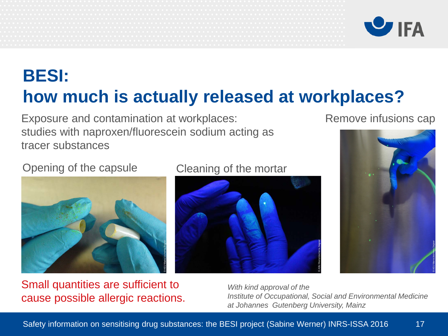



# **BESI: how much is actually released at workplaces?**

Exposure and contamination at workplaces: studies with naproxen/fluorescein sodium acting as tracer substances

#### Remove infusions cap

#### Opening of the capsule Cleaning of the mortar



Small quantities are sufficient to cause possible allergic reactions.





*With kind approval of the Institute of Occupational, Social and Environmental Medicine at Johannes Gutenberg University, Mainz*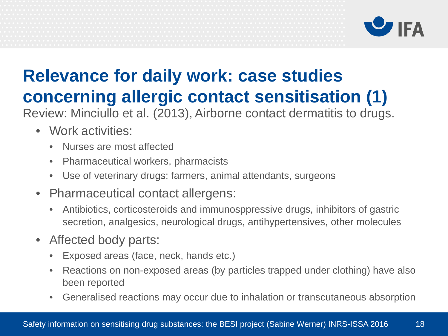

# **Relevance for daily work: case studies concerning allergic contact sensitisation (1)**

Review: Minciullo et al. (2013), Airborne contact dermatitis to drugs.

- Work activities:
	- Nurses are most affected
	- Pharmaceutical workers, pharmacists
	- Use of veterinary drugs: farmers, animal attendants, surgeons
- Pharmaceutical contact allergens:
	- Antibiotics, corticosteroids and immunosppressive drugs, inhibitors of gastric secretion, analgesics, neurological drugs, antihypertensives, other molecules
- Affected body parts:
	- Exposed areas (face, neck, hands etc.)
	- Reactions on non-exposed areas (by particles trapped under clothing) have also been reported
	- Generalised reactions may occur due to inhalation or transcutaneous absorption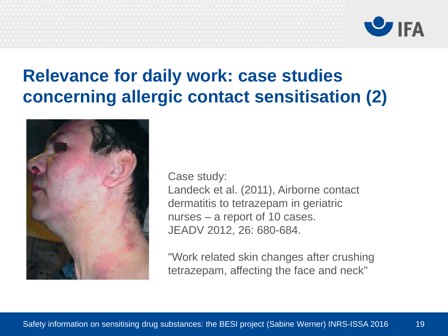

## **Relevance for daily work: case studies concerning allergic contact sensitisation (2)**



Case study:

Landeck et al. (2011), Airborne contact dermatitis to tetrazepam in geriatric nurses – a report of 10 cases. JEADV 2012, 26: 680-684.

"Work related skin changes after crushing tetrazepam, affecting the face and neck"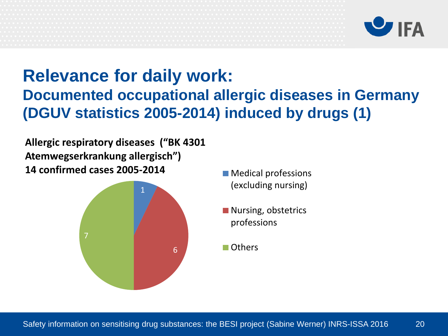

#### **Relevance for daily work: Documented occupational allergic diseases in Germany (DGUV statistics 2005-2014) induced by drugs (1)**

**Allergic respiratory diseases ("BK 4301 Atemwegserkrankung allergisch") 14 confirmed cases 2005-2014** Medical professions



- (excluding nursing)
- Nursing, obstetrics professions
- **■** Others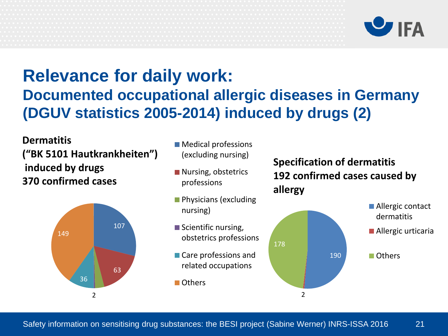

#### **Relevance for daily work: Documented occupational allergic diseases in Germany (DGUV statistics 2005-2014) induced by drugs (2)**

**Dermatitis ("BK 5101 Hautkrankheiten") induced by drugs 370 confirmed cases**



- **Medical professions** (excluding nursing)
- Nursing, obstetrics professions
- **Physicians (excluding** nursing)
- Scientific nursing, obstetrics professions
- Care professions and related occupations
- **■** Others

**Specification of dermatitis 192 confirmed cases caused by allergy**

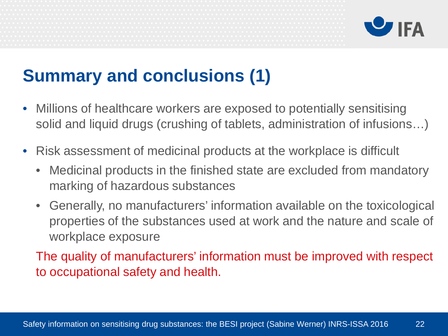

# **Summary and conclusions (1)**

- Millions of healthcare workers are exposed to potentially sensitising solid and liquid drugs (crushing of tablets, administration of infusions…)
- Risk assessment of medicinal products at the workplace is difficult
	- Medicinal products in the finished state are excluded from mandatory marking of hazardous substances
	- Generally, no manufacturers' information available on the toxicological properties of the substances used at work and the nature and scale of workplace exposure

The quality of manufacturers' information must be improved with respect to occupational safety and health.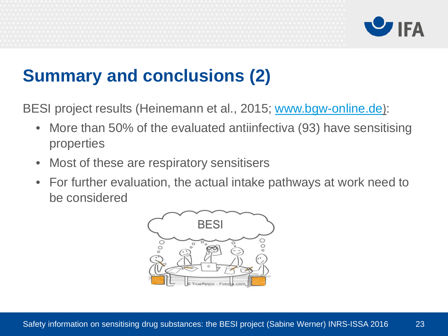



# **Summary and conclusions (2)**

BESI project results (Heinemann et al., 2015; [www.bgw-online.de](http://www.bgw-online.de/)):

- More than 50% of the evaluated antiinfectiva (93) have sensitising properties
- Most of these are respiratory sensitisers
- For further evaluation, the actual intake pathways at work need to be considered

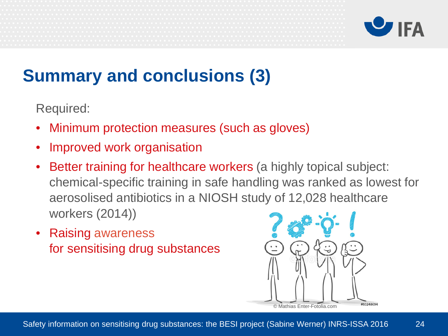

# **Summary and conclusions (3)**

Required:

- Minimum protection measures (such as gloves)
- Improved work organisation
- Better training for healthcare workers (a highly topical subject: chemical-specific training in safe handling was ranked as lowest for aerosolised antibiotics in a NIOSH study of 12,028 healthcare workers (2014))
- Raising awareness for sensitising drug substances

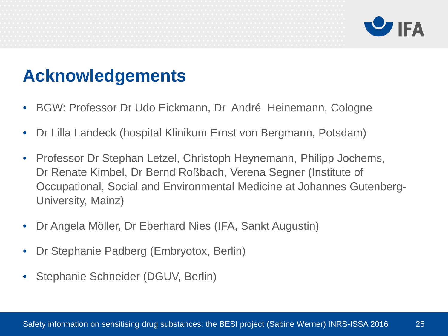

## **Acknowledgements**

- BGW: Professor Dr Udo Eickmann, Dr André Heinemann, Cologne
- Dr Lilla Landeck (hospital Klinikum Ernst von Bergmann, Potsdam)
- Professor Dr Stephan Letzel, Christoph Heynemann, Philipp Jochems, Dr Renate Kimbel, Dr Bernd Roßbach, Verena Segner (Institute of Occupational, Social and Environmental Medicine at Johannes Gutenberg-University, Mainz)
- Dr Angela Möller, Dr Eberhard Nies (IFA, Sankt Augustin)
- Dr Stephanie Padberg (Embryotox, Berlin)
- Stephanie Schneider (DGUV, Berlin)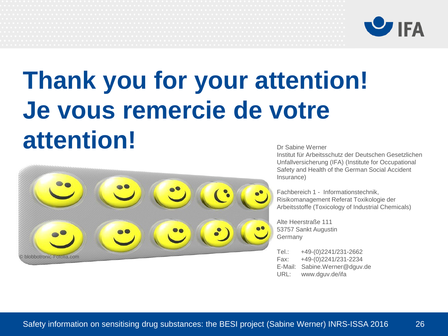

## **Thank you for your attention! Je vous remercie de votre attention!** Dr Sabine Werner



Institut für Arbeitsschutz der Deutschen Gesetzlichen Unfallversicherung (IFA) (Institute for Occupational Safety and Health of the German Social Accident Insurance)

Fachbereich 1 - Informationstechnik, Risikomanagement Referat Toxikologie der Arbeitsstoffe (Toxicology of Industrial Chemicals)

Alte Heerstraße 111 53757 Sankt Augustin Germany

Tel.: +49-(0)2241/231-2662 Fax: +49-(0)2241/231-2234 E-Mail: Sabine.Werner@dguv.de URL: www.dguv.de/ifa